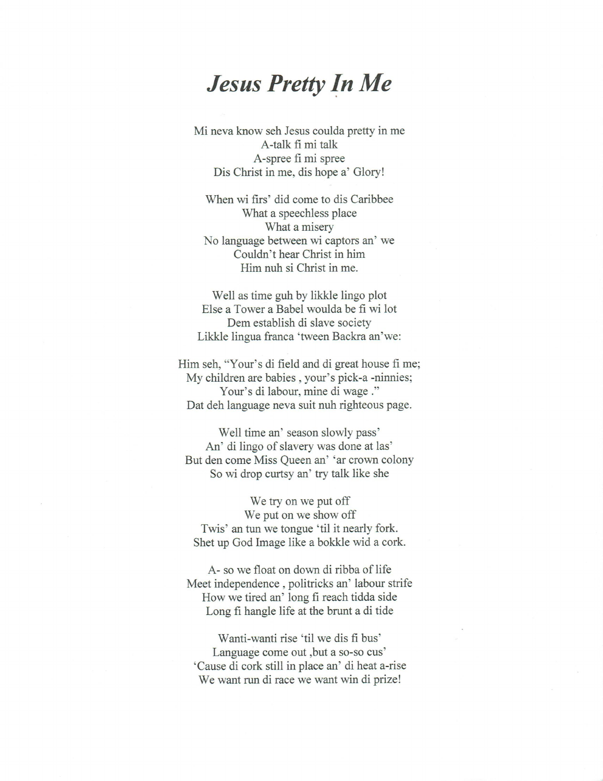## *Jesus Pretty In Me*

Mi neva know seh Jesus coulda pretty in me A-talk fi mi talk A-spree fi mi spree Dis Christ in me, dis hope a' Glory!

When wi firs' did come to dis Caribbee What a speechless place What a misery No language between wi captors an' we Couldn't hear Christ in him Him nuh si Christ in me.

Well as time guh by likkle lingo plot Else a Tower a Babel woulda be fi wi lot Dem establish di slave society Likkle lingua franca `tween Backra an'we:

Him seh, "Your's di field and di great house fi me; My children are babies , your's pick-a -ninnies; Your's di labour, mine di wage ." Dat deh language neva suit nuh righteous page.

Well time an' season slowly pass' An' di lingo of slavery was done at las' But den come Miss Queen an' 'ar crown colony So wi drop curtsy an' try talk like she

We try on we put off We put on we show off Twis' an tun we tongue 'til it nearly fork. Shet up God Image like a bokkle wid a cork.

A- so we float on down di ribba of life Meet independence , politicks an' labour strife How we tired an' long fi reach tidda side Long fi hangle life at the brunt a di tide

Wanti-wanti rise 'til we dis fi bus' Language come out ,but a so-so cus' 'Cause di cork still in place an' di heat a-rise We want run di race we want win di prize!